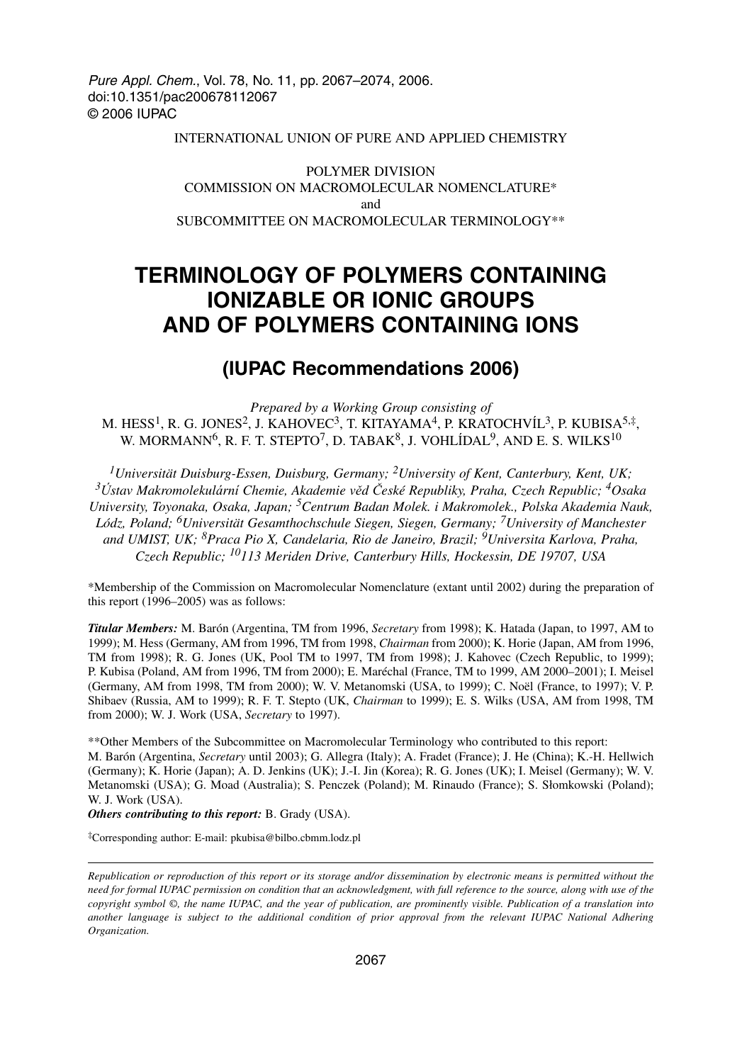Pure Appl. Chem., Vol. 78, No. 11, pp. 2067–2074, 2006. doi:10.1351/pac200678112067 © 2006 IUPAC

#### INTERNATIONAL UNION OF PURE AND APPLIED CHEMISTRY

POLYMER DIVISION COMMISSION ON MACROMOLECULAR NOMENCLATURE\* and SUBCOMMITTEE ON MACROMOLECULAR TERMINOLOGY\*\*

# **TERMINOLOGY OF POLYMERS CONTAINING IONIZABLE OR IONIC GROUPS AND OF POLYMERS CONTAINING IONS**

# **(IUPAC Recommendations 2006)**

*Prepared by a Working Group consisting of* M. HESS<sup>1</sup>, R. G. JONES<sup>2</sup>, J. KAHOVEC<sup>3</sup>, T. KITAYAMA<sup>4</sup>, P. KRATOCHVÍL<sup>3</sup>, P. KUBISA<sup>5,‡</sup>, W. MORMANN<sup>6</sup>, R. F. T. STEPTO<sup>7</sup>, D. TABAK<sup>8</sup>, J. VOHLÍDAL<sup>9</sup>, AND E. S. WILKS<sup>10</sup>

*1Universität Duisburg-Essen, Duisburg, Germany; 2University of Kent, Canterbury, Kent, UK; <sup>3</sup>Ústav Makromolekulární Chemie, Akademie věd České Republiky, Praha, Czech Republic; 4Osaka University, Toyonaka, Osaka, Japan; 5Centrum Badan Molek. i Makromolek., Polska Akademia Nauk, Lódz, Poland; 6Universität Gesamthochschule Siegen, Siegen, Germany; 7University of Manchester and UMIST, UK; 8Praca Pio X, Candelaria, Rio de Janeiro, Brazil; 9Universita Karlova, Praha, Czech Republic; 10113 Meriden Drive, Canterbury Hills, Hockessin, DE 19707, USA*

\*Membership of the Commission on Macromolecular Nomenclature (extant until 2002) during the preparation of this report (1996–2005) was as follows:

*Titular Members:* M. Barón (Argentina, TM from 1996, *Secretary* from 1998); K. Hatada (Japan, to 1997, AM to 1999); M. Hess (Germany, AM from 1996, TM from 1998, *Chairman* from 2000); K. Horie (Japan, AM from 1996, TM from 1998); R. G. Jones (UK, Pool TM to 1997, TM from 1998); J. Kahovec (Czech Republic, to 1999); P. Kubisa (Poland, AM from 1996, TM from 2000); E. Maréchal (France, TM to 1999, AM 2000–2001); I. Meisel (Germany, AM from 1998, TM from 2000); W. V. Metanomski (USA, to 1999); C. Noël (France, to 1997); V. P. Shibaev (Russia, AM to 1999); R. F. T. Stepto (UK, *Chairman* to 1999); E. S. Wilks (USA, AM from 1998, TM from 2000); W. J. Work (USA, *Secretary* to 1997).

\*\*Other Members of the Subcommittee on Macromolecular Terminology who contributed to this report: M. Barón (Argentina, *Secretary* until 2003); G. Allegra (Italy); A. Fradet (France); J. He (China); K.-H. Hellwich (Germany); K. Horie (Japan); A. D. Jenkins (UK); J.-I. Jin (Korea); R. G. Jones (UK); I. Meisel (Germany); W. V. Metanomski (USA); G. Moad (Australia); S. Penczek (Poland); M. Rinaudo (France); S. Słomkowski (Poland); W. J. Work (USA).

*Others contributing to this report:* B. Grady (USA).

‡Corresponding author: E-mail: pkubisa@bilbo.cbmm.lodz.pl

*Republication or reproduction of this report or its storage and/or dissemination by electronic means is permitted without the need for formal IUPAC permission on condition that an acknowledgment, with full reference to the source, along with use of the copyright symbol ©, the name IUPAC, and the year of publication, are prominently visible. Publication of a translation into another language is subject to the additional condition of prior approval from the relevant IUPAC National Adhering Organization.*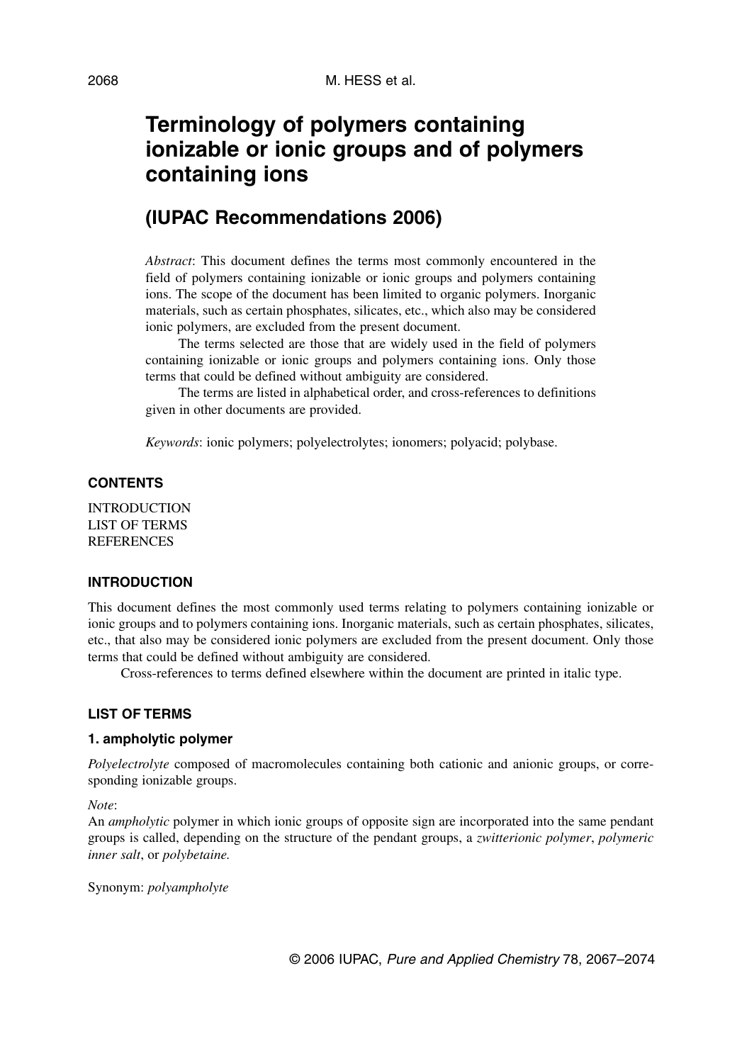# **Terminology of polymers containing ionizable or ionic groups and of polymers containing ions**

# **(IUPAC Recommendations 2006)**

*Abstract*: This document defines the terms most commonly encountered in the field of polymers containing ionizable or ionic groups and polymers containing ions. The scope of the document has been limited to organic polymers. Inorganic materials, such as certain phosphates, silicates, etc., which also may be considered ionic polymers, are excluded from the present document.

The terms selected are those that are widely used in the field of polymers containing ionizable or ionic groups and polymers containing ions. Only those terms that could be defined without ambiguity are considered.

The terms are listed in alphabetical order, and cross-references to definitions given in other documents are provided.

*Keywords*: ionic polymers; polyelectrolytes; ionomers; polyacid; polybase.

#### **CONTENTS**

**INTRODUCTION** LIST OF TERMS REFERENCES

#### **INTRODUCTION**

This document defines the most commonly used terms relating to polymers containing ionizable or ionic groups and to polymers containing ions. Inorganic materials, such as certain phosphates, silicates, etc., that also may be considered ionic polymers are excluded from the present document. Only those terms that could be defined without ambiguity are considered.

Cross-references to terms defined elsewhere within the document are printed in italic type.

#### **LIST OF TERMS**

#### **1. ampholytic polymer**

*Polyelectrolyte* composed of macromolecules containing both cationic and anionic groups, or corresponding ionizable groups.

*Note*:

An *ampholytic* polymer in which ionic groups of opposite sign are incorporated into the same pendant groups is called, depending on the structure of the pendant groups, a *zwitterionic polymer*, *polymeric inner salt*, or *polybetaine.*

Synonym: *polyampholyte*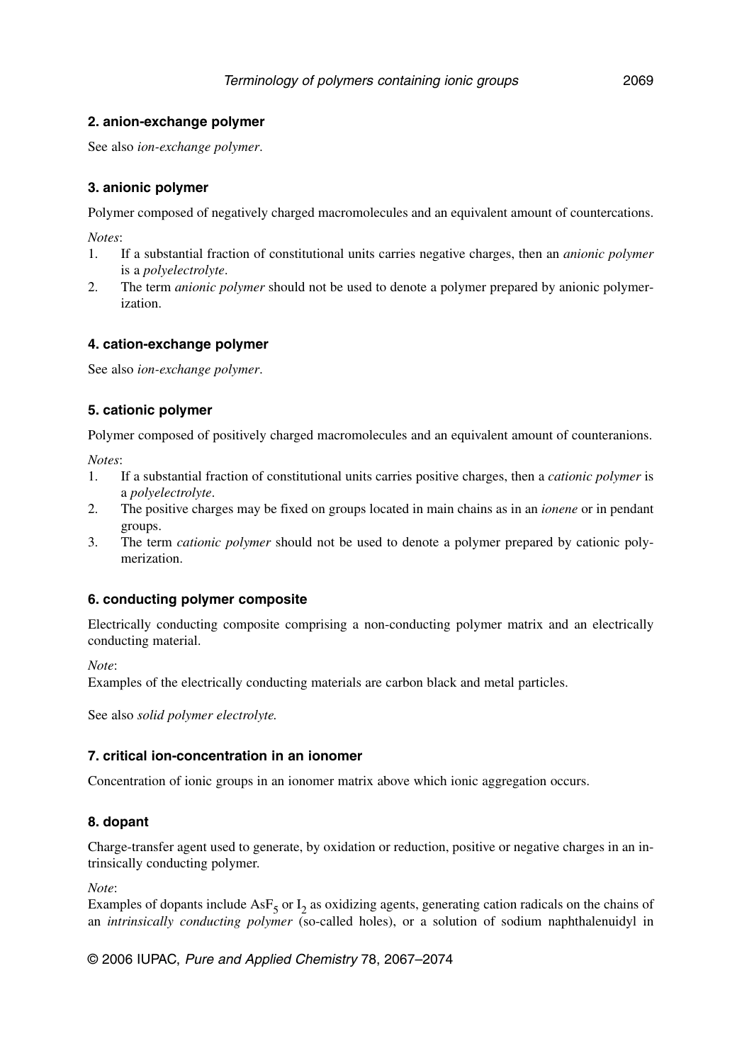#### **2. anion-exchange polymer**

See also *ion-exchange polymer*.

#### **3. anionic polymer**

Polymer composed of negatively charged macromolecules and an equivalent amount of countercations.

*Notes*:

- 1. If a substantial fraction of constitutional units carries negative charges, then an *anionic polymer* is a *polyelectrolyte*.
- 2. The term *anionic polymer* should not be used to denote a polymer prepared by anionic polymerization.

#### **4. cation-exchange polymer**

See also *ion-exchange polymer*.

#### **5. cationic polymer**

Polymer composed of positively charged macromolecules and an equivalent amount of counteranions.

*Notes*:

- 1. If a substantial fraction of constitutional units carries positive charges, then a *cationic polymer* is a *polyelectrolyte*.
- 2. The positive charges may be fixed on groups located in main chains as in an *ionene* or in pendant groups.
- 3. The term *cationic polymer* should not be used to denote a polymer prepared by cationic polymerization.

#### **6. conducting polymer composite**

Electrically conducting composite comprising a non-conducting polymer matrix and an electrically conducting material.

*Note*:

Examples of the electrically conducting materials are carbon black and metal particles.

See also *solid polymer electrolyte.*

#### **7. critical ion-concentration in an ionomer**

Concentration of ionic groups in an ionomer matrix above which ionic aggregation occurs.

#### **8. dopant**

Charge-transfer agent used to generate, by oxidation or reduction, positive or negative charges in an intrinsically conducting polymer.

*Note*:

Examples of dopants include AsF<sub>5</sub> or  $I_2$  as oxidizing agents, generating cation radicals on the chains of an *intrinsically conducting polymer* (so-called holes), or a solution of sodium naphthalenuidyl in

© 2006 IUPAC, Pure and Applied Chemistry 78, 2067–2074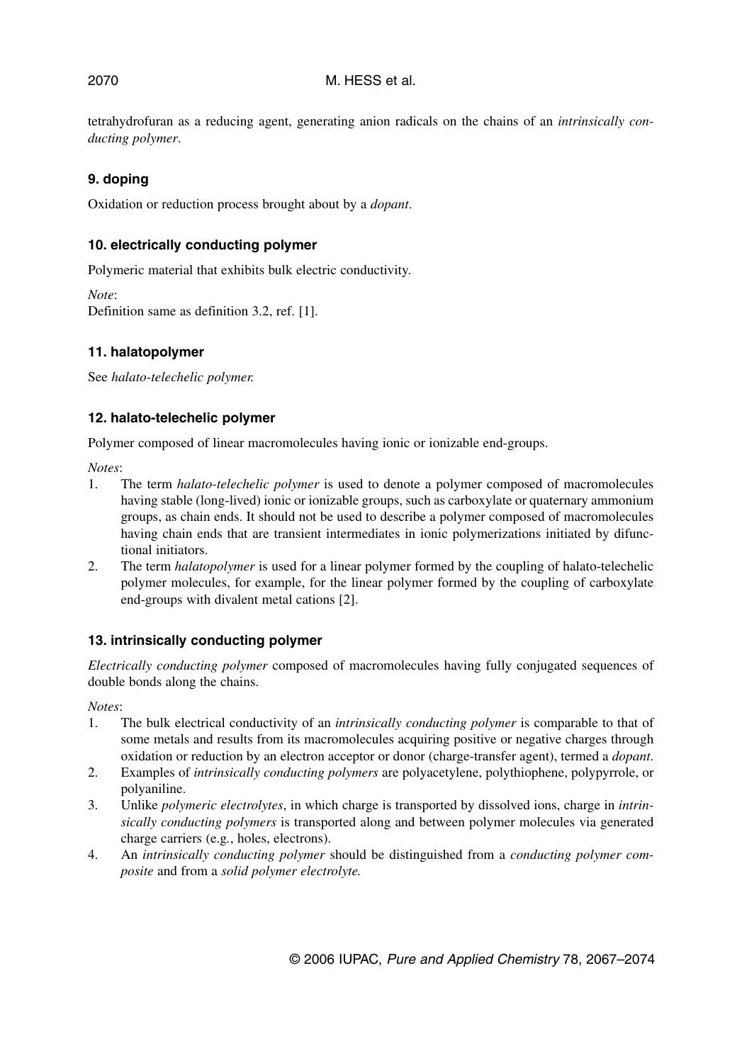tetrahydrofuran as a reducing agent, generating anion radicals on the chains of an *intrinsically conducting polymer*.

#### **9. doping**

Oxidation or reduction process brought about by a *dopant*.

#### **10. electrically conducting polymer**

Polymeric material that exhibits bulk electric conductivity.

*Note*: Definition same as definition 3.2, ref. [1].

#### **11. halatopolymer**

See *halato-telechelic polymer.*

#### **12. halato-telechelic polymer**

Polymer composed of linear macromolecules having ionic or ionizable end-groups.

*Notes*:

- 1. The term *halato-telechelic polymer* is used to denote a polymer composed of macromolecules having stable (long-lived) ionic or ionizable groups, such as carboxylate or quaternary ammonium groups, as chain ends. It should not be used to describe a polymer composed of macromolecules having chain ends that are transient intermediates in ionic polymerizations initiated by difunctional initiators.
- 2. The term *halatopolymer* is used for a linear polymer formed by the coupling of halato-telechelic polymer molecules, for example, for the linear polymer formed by the coupling of carboxylate end-groups with divalent metal cations [2].

#### **13. intrinsically conducting polymer**

*Electrically conducting polymer* composed of macromolecules having fully conjugated sequences of double bonds along the chains.

*Notes*:

- 1. The bulk electrical conductivity of an *intrinsically conducting polymer* is comparable to that of some metals and results from its macromolecules acquiring positive or negative charges through oxidation or reduction by an electron acceptor or donor (charge-transfer agent), termed a *dopant*.
- 2. Examples of *intrinsically conducting polymers* are polyacetylene, polythiophene, polypyrrole, or polyaniline.
- 3. Unlike *polymeric electrolytes*, in which charge is transported by dissolved ions, charge in *intrinsically conducting polymers* is transported along and between polymer molecules via generated charge carriers (e.g*.*, holes, electrons).
- 4. An *intrinsically conducting polymer* should be distinguished from a *conducting polymer composite* and from a *solid polymer electrolyte.*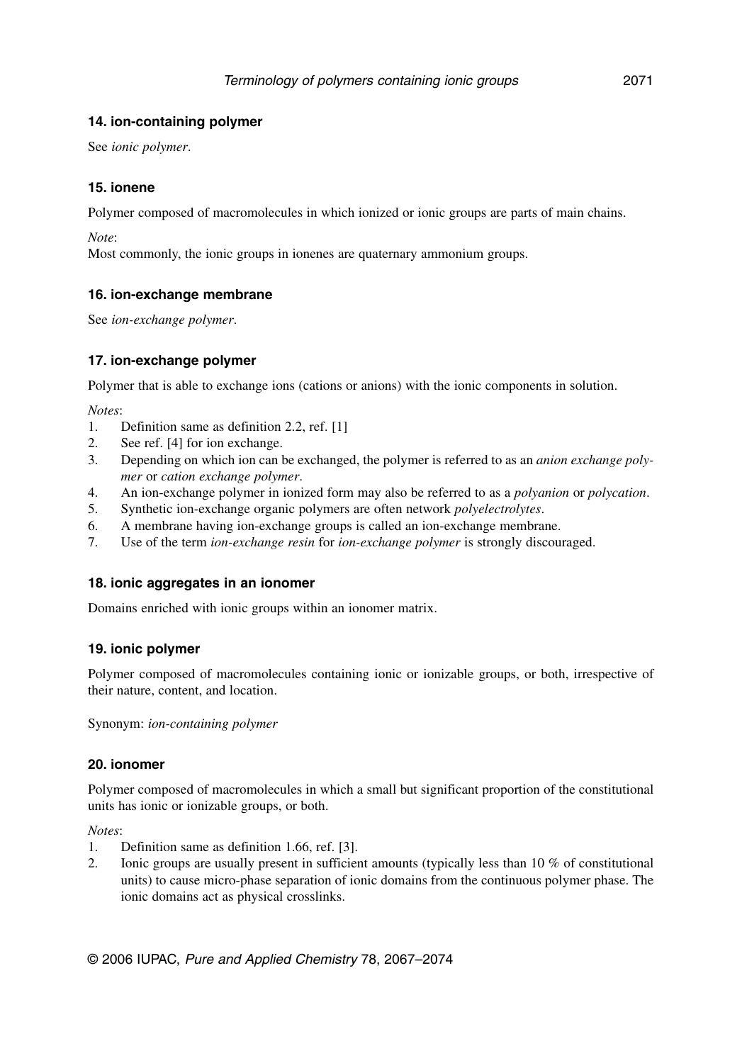#### **14. ion-containing polymer**

See *ionic polymer*.

#### **15. ionene**

Polymer composed of macromolecules in which ionized or ionic groups are parts of main chains.

*Note*:

Most commonly, the ionic groups in ionenes are quaternary ammonium groups.

#### **16. ion-exchange membrane**

See *ion-exchange polymer*.

#### **17. ion-exchange polymer**

Polymer that is able to exchange ions (cations or anions) with the ionic components in solution.

*Notes*:

- 1. Definition same as definition 2.2, ref. [1]
- 2. See ref. [4] for ion exchange.
- 3. Depending on which ion can be exchanged, the polymer is referred to as an *anion exchange polymer* or *cation exchange polymer*.
- 4. An ion-exchange polymer in ionized form may also be referred to as a *polyanion* or *polycation*.
- 5. Synthetic ion-exchange organic polymers are often network *polyelectrolytes*.
- 6. A membrane having ion-exchange groups is called an ion-exchange membrane.
- 7. Use of the term *ion-exchange resin* for *ion-exchange polymer* is strongly discouraged.

#### **18. ionic aggregates in an ionomer**

Domains enriched with ionic groups within an ionomer matrix.

#### **19. ionic polymer**

Polymer composed of macromolecules containing ionic or ionizable groups, or both, irrespective of their nature, content, and location.

Synonym: *ion-containing polymer*

#### **20. ionomer**

Polymer composed of macromolecules in which a small but significant proportion of the constitutional units has ionic or ionizable groups, or both.

*Notes*:

- 1. Definition same as definition 1.66, ref. [3].
- 2. Ionic groups are usually present in sufficient amounts (typically less than 10 % of constitutional units) to cause micro-phase separation of ionic domains from the continuous polymer phase. The ionic domains act as physical crosslinks.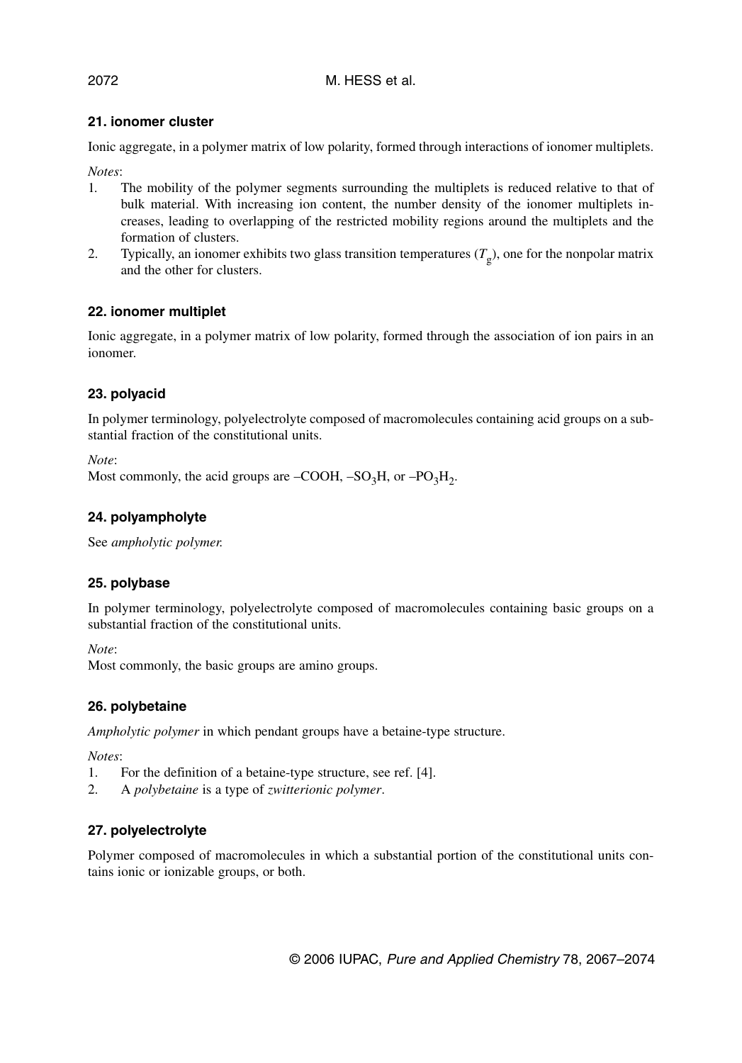# **21. ionomer cluster**

Ionic aggregate, in a polymer matrix of low polarity, formed through interactions of ionomer multiplets.

*Notes*:

- 1*.* The mobility of the polymer segments surrounding the multiplets is reduced relative to that of bulk material. With increasing ion content, the number density of the ionomer multiplets increases, leading to overlapping of the restricted mobility regions around the multiplets and the formation of clusters.
- 2. Typically, an ionomer exhibits two glass transition temperatures  $(T_g)$ , one for the nonpolar matrix and the other for clusters.

# **22. ionomer multiplet**

Ionic aggregate, in a polymer matrix of low polarity, formed through the association of ion pairs in an ionomer.

# **23. polyacid**

In polymer terminology, polyelectrolyte composed of macromolecules containing acid groups on a substantial fraction of the constitutional units.

*Note*:

```
Most commonly, the acid groups are –COOH, –SO<sub>3</sub>H, or –PO<sub>3</sub>H<sub>2</sub>.
```
# **24. polyampholyte**

See *ampholytic polymer.*

# **25. polybase**

In polymer terminology, polyelectrolyte composed of macromolecules containing basic groups on a substantial fraction of the constitutional units.

*Note*:

Most commonly, the basic groups are amino groups.

# **26. polybetaine**

*Ampholytic polymer* in which pendant groups have a betaine-type structure.

*Notes*:

- 1. For the definition of a betaine-type structure, see ref. [4].
- 2. A *polybetaine* is a type of *zwitterionic polymer*.

# **27. polyelectrolyte**

Polymer composed of macromolecules in which a substantial portion of the constitutional units contains ionic or ionizable groups, or both.

© 2006 IUPAC, Pure and Applied Chemistry 78, 2067–2074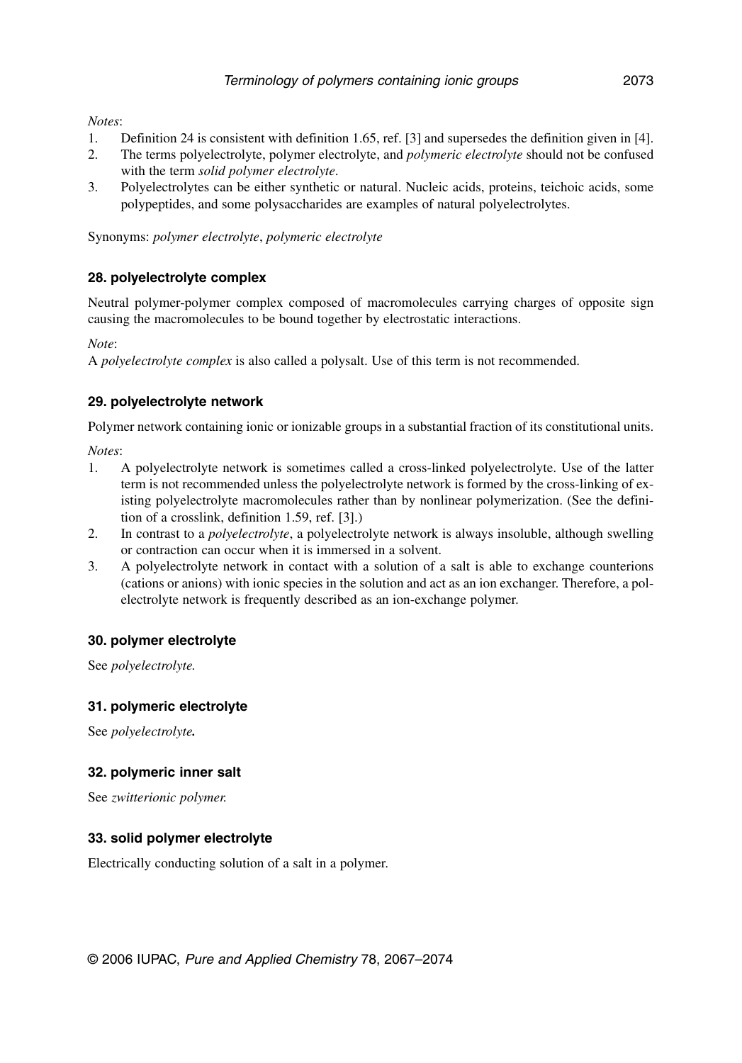*Notes*:

- 1. Definition 24 is consistent with definition 1.65, ref. [3] and supersedes the definition given in [4].
- 2. The terms polyelectrolyte, polymer electrolyte, and *polymeric electrolyte* should not be confused with the term *solid polymer electrolyte*.
- 3. Polyelectrolytes can be either synthetic or natural. Nucleic acids, proteins, teichoic acids, some polypeptides, and some polysaccharides are examples of natural polyelectrolytes.

Synonyms: *polymer electrolyte*, *polymeric electrolyte*

#### **28. polyelectrolyte complex**

Neutral polymer-polymer complex composed of macromolecules carrying charges of opposite sign causing the macromolecules to be bound together by electrostatic interactions.

*Note*:

A *polyelectrolyte complex* is also called a polysalt. Use of this term is not recommended.

#### **29. polyelectrolyte network**

Polymer network containing ionic or ionizable groups in a substantial fraction of its constitutional units.

*Notes*:

- 1. A polyelectrolyte network is sometimes called a cross-linked polyelectrolyte. Use of the latter term is not recommended unless the polyelectrolyte network is formed by the cross-linking of existing polyelectrolyte macromolecules rather than by nonlinear polymerization. (See the definition of a crosslink, definition 1.59, ref. [3].)
- 2. In contrast to a *polyelectrolyte*, a polyelectrolyte network is always insoluble, although swelling or contraction can occur when it is immersed in a solvent.
- 3. A polyelectrolyte network in contact with a solution of a salt is able to exchange counterions (cations or anions) with ionic species in the solution and act as an ion exchanger. Therefore, a polelectrolyte network is frequently described as an ion-exchange polymer.

#### **30. polymer electrolyte**

See *polyelectrolyte.*

#### **31. polymeric electrolyte**

See *polyelectrolyte.*

#### **32. polymeric inner salt**

See *zwitterionic polymer.*

#### **33. solid polymer electrolyte**

Electrically conducting solution of a salt in a polymer.

© 2006 IUPAC, Pure and Applied Chemistry 78, 2067–2074